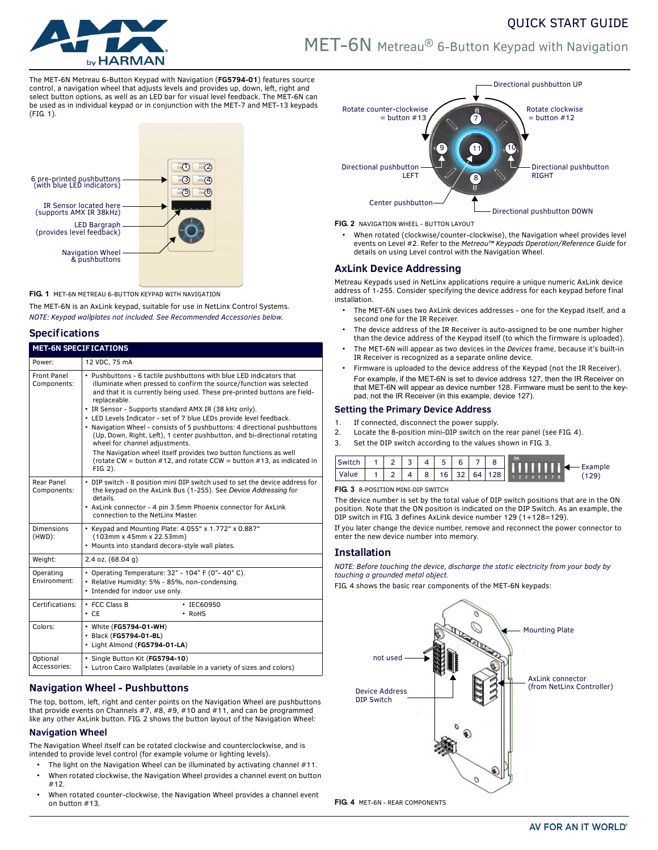

# MET-6N Metreau® 6-Button Keypad with Navigation

QUICK START GUIDE

The MET-6N Metreau 6-Button Keypad with Navigation (**FG5794-01**) features source control, a navigation wheel that adjusts levels and provides up, down, left, right and select button options, as well as an LED bar for visual level feedback. The MET-6N can be used as in individual keypad or in conjunction with the MET-7 and MET-13 keypads ([FIG. 1](#page-0-0)).

# IR Sensor located here LED Bargraph Navigation Wheel 6 pre-printed pushbuttons (with blue LED indicators) (supports AMX IR 38kHz)  $\bigcirc$   $\overline{\circ}$  2  $(3)$   $\sqrt{(4)}$  $(5)$  6 & pushbuttons (provides level feedback)

<span id="page-0-0"></span>**FIG. 1** MET-6N METREAU 6-BUTTON KEYPAD WITH NAVIGATION

The MET-6N is an AxLink keypad, suitable for use in NetLinx Control Systems. *NOTE: Keypad wallplates not included. See Recommended Accessories below.*

# **Specifications**

| <b>MET-6N SPECIFICATIONS</b>   |                                                                                                                                                                                                                                                                                                                                                                                                                                                                                                                                                                                                                                                                                                                               |  |  |  |  |  |  |
|--------------------------------|-------------------------------------------------------------------------------------------------------------------------------------------------------------------------------------------------------------------------------------------------------------------------------------------------------------------------------------------------------------------------------------------------------------------------------------------------------------------------------------------------------------------------------------------------------------------------------------------------------------------------------------------------------------------------------------------------------------------------------|--|--|--|--|--|--|
| Power:                         | 12 VDC, 75 mA                                                                                                                                                                                                                                                                                                                                                                                                                                                                                                                                                                                                                                                                                                                 |  |  |  |  |  |  |
| Front Panel<br>Components:     | • Pushbuttons - 6 tactile pushbuttons with blue LED indicators that<br>illuminate when pressed to confirm the source/function was selected<br>and that it is currently being used. These pre-printed buttons are field-<br>replaceable.<br>• IR Sensor - Supports standard AMX IR (38 kHz only).<br>• LED Levels Indicator - set of 7 blue LEDs provide level feedback.<br>• Navigation Wheel - consists of 5 pushbuttons: 4 directional pushbuttons<br>(Up, Down, Right, Left), 1 center pushbutton, and bi-directional rotating<br>wheel for channel adjustments.<br>The Navigation wheel itself provides two button functions as well<br>(rotate CW = button #12, and rotate CCW = button #13, as indicated in<br>FIG. 2). |  |  |  |  |  |  |
| Rear Panel<br>Components:      | • DIP switch - 8 position mini DIP switch used to set the device address for<br>the keypad on the AxLink Bus (1-255). See Device Addressing for<br>details.<br>• AxLink connector - 4 pin 3.5mm Phoenix connector for AxLink<br>connection to the NetLinx Master                                                                                                                                                                                                                                                                                                                                                                                                                                                              |  |  |  |  |  |  |
| <b>Dimensions</b><br>$(HWD)$ : | • Keypad and Mounting Plate: 4.055" x 1.772" x 0.887"<br>(103mm x 45mm x 22.53mm)<br>• Mounts into standard decora-style wall plates.                                                                                                                                                                                                                                                                                                                                                                                                                                                                                                                                                                                         |  |  |  |  |  |  |
| Weight:                        | $2.4$ oz. $(68.04)$                                                                                                                                                                                                                                                                                                                                                                                                                                                                                                                                                                                                                                                                                                           |  |  |  |  |  |  |
| Operating<br>Environment:      | • Operating Temperature: $32^\circ$ - $104^\circ$ F (0°-40°C).<br>· Relative Humidity: 5% - 85%, non-condensing.<br>• Intended for indoor use only.                                                                                                                                                                                                                                                                                                                                                                                                                                                                                                                                                                           |  |  |  |  |  |  |
| Certifications:                | • FCC Class B<br>$\cdot$ IEC60950<br>$\cdot$ CE<br>$\cdot$ RoHS                                                                                                                                                                                                                                                                                                                                                                                                                                                                                                                                                                                                                                                               |  |  |  |  |  |  |
| Colors:                        | • White (FG5794-01-WH)<br>· Black (FG5794-01-BL)<br>· Light Almond (FG5794-01-LA)                                                                                                                                                                                                                                                                                                                                                                                                                                                                                                                                                                                                                                             |  |  |  |  |  |  |
| Optional<br>Accessories:       | · Single Button Kit (FG5794-10)<br>• Lutron Cairo Wallplates (available in a variety of sizes and colors)                                                                                                                                                                                                                                                                                                                                                                                                                                                                                                                                                                                                                     |  |  |  |  |  |  |

# **Navigation Wheel - Pushbuttons**

The top, bottom, left, right and center points on the Navigation Wheel are pushbuttons that provide events on Channels #7, #8, #9, #10 and #11, and can be programmed like any other AxLink button. FIG. 2 shows the button layout of the Navigation Wheel:

# **Navigation Wheel**

The Navigation Wheel itself can be rotated clockwise and counterclockwise, and is intended to provide level control (for example volume or lighting levels).

- The light on the Navigation Wheel can be illuminated by activating channel #11.
- When rotated clockwise, the Navigation Wheel provides a channel event on button #12.
- When rotated counter-clockwise, the Navigation Wheel provides a channel event on button #13.



#### **FIG. 2** NAVIGATION WHEEL - BUTTON LAYOUT

• When rotated (clockwise/counter-clockwise), the Navigation wheel provides level events on Level #2. Refer to the *Metreau™ Keypads Operation/Reference Guide* for details on using Level control with the Navigation Wheel.

# **AxLink Device Addressing**

Metreau Keypads used in NetLinx applications require a unique numeric AxLink device address of 1-255. Consider specifying the device address for each keypad before final installation.

- The MET-6N uses two AxLink devices addresses one for the Keypad itself, and a second one for the IR Receiver.
- The device address of the IR Receiver is auto-assigned to be one number higher than the device address of the Keypad itself (to which the firmware is uploaded).
- The MET-6N will appear as two devices in the *Devices* frame, because it's built-in IR Receiver is recognized as a separate online device.
- Firmware is uploaded to the device address of the Keypad (not the IR Receiver). For example, if the MET-6N is set to device address 127, then the IR Receiver on that MET-6N will appear as device number 128. Firmware must be sent to the keypad, not the IR Receiver (in this example, device 127).

## **Setting the Primary Device Address**

- 1. If connected, disconnect the power supply.
- 2. Locate the 8-position mini-DIP switch on the rear panel (see [FIG. 4](#page-0-1)).
- 3. Set the DIP switch according to the values shown in FIG. 3.

| Switch |  | 4 | 5 <sub>1</sub> | 6 |  | ON | $\leftarrow$ Example |
|--------|--|---|----------------|---|--|----|----------------------|
| Value  |  |   | 8 16 32 64     |   |  |    |                      |

#### **FIG. 3** 8-POSITION MINI-DIP SWITCH

The device number is set by the total value of DIP switch positions that are in the ON position. Note that the ON position is indicated on the DIP Switch. As an example, the DIP switch in FIG. 3 defines AxLink device number 129 (1+128=129).

If you later change the device number, remove and reconnect the power connector to enter the new device number into memory.

# **Installation**

*NOTE: Before touching the device, discharge the static electricity from your body by touching a grounded metal object.*

[FIG. 4](#page-0-1) shows the basic rear components of the MET-6N keypads:

<span id="page-0-1"></span>